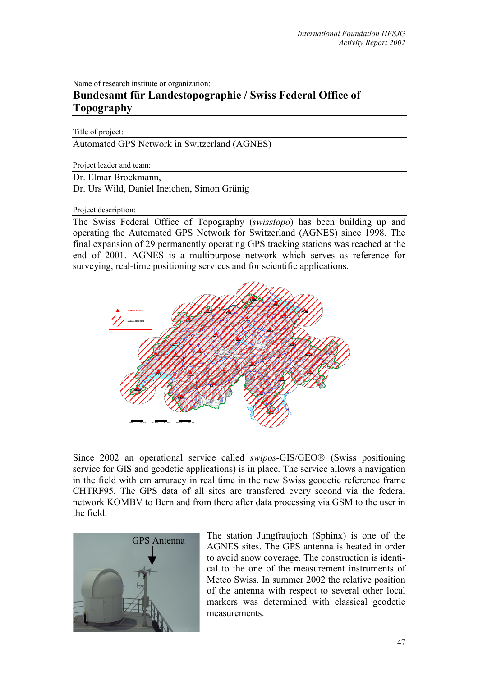Name of research institute or organization:

## **Bundesamt für Landestopographie / Swiss Federal Office of Topography**

Title of project:

Automated GPS Network in Switzerland (AGNES)

Project leader and team:

Dr. Elmar Brockmann,

Dr. Urs Wild, Daniel Ineichen, Simon Grünig

Project description:

The Swiss Federal Office of Topography (*swisstopo*) has been building up and operating the Automated GPS Network for Switzerland (AGNES) since 1998. The final expansion of 29 permanently operating GPS tracking stations was reached at the end of 2001. AGNES is a multipurpose network which serves as reference for surveying, real-time positioning services and for scientific applications.



Since 2002 an operational service called *swipos*-GIS/GEO<sup>®</sup> (Swiss positioning service for GIS and geodetic applications) is in place. The service allows a navigation in the field with cm arruracy in real time in the new Swiss geodetic reference frame CHTRF95. The GPS data of all sites are transfered every second via the federal network KOMBV to Bern and from there after data processing via GSM to the user in the field.



The station Jungfraujoch (Sphinx) is one of the AGNES sites. The GPS antenna is heated in order to avoid snow coverage. The construction is identical to the one of the measurement instruments of Meteo Swiss. In summer 2002 the relative position of the antenna with respect to several other local markers was determined with classical geodetic measurements.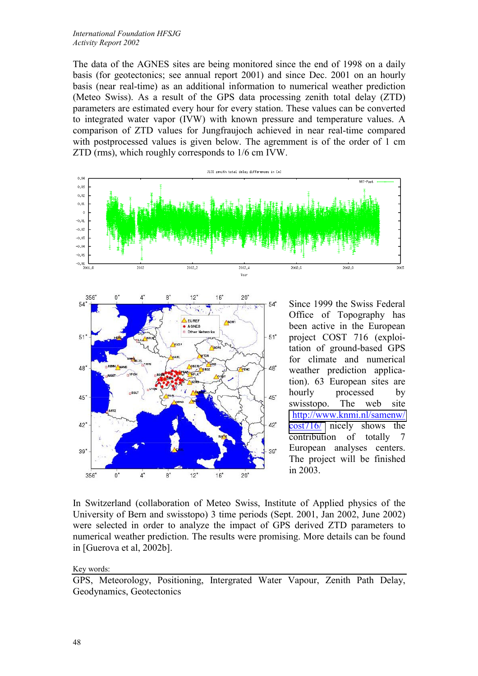The data of the AGNES sites are being monitored since the end of 1998 on a daily basis (for geotectonics; see annual report 2001) and since Dec. 2001 on an hourly basis (near real-time) as an additional information to numerical weather prediction (Meteo Swiss). As a result of the GPS data processing zenith total delay (ZTD) parameters are estimated every hour for every station. These values can be converted to integrated water vapor (IVW) with known pressure and temperature values. A comparison of ZTD values for Jungfraujoch achieved in near real-time compared with postprocessed values is given below. The agremment is of the order of 1 cm ZTD (rms), which roughly corresponds to 1/6 cm IVW.





Since 1999 the Swiss Federal Office of Topography has been active in the European project COST 716 (exploitation of ground-based GPS for climate and numerical weather prediction application). 63 European sites are hourly processed by swisstopo. The web site [http://www.knmi.nl/samenw/](http://www.knmi.nl/samenw/cost716/) [cost716/](http://www.knmi.nl/samenw/cost716/) nicely shows the contribution of totally 7 European analyses centers. The project will be finished in 2003.

In Switzerland (collaboration of Meteo Swiss, Institute of Applied physics of the University of Bern and swisstopo) 3 time periods (Sept. 2001, Jan 2002, June 2002) were selected in order to analyze the impact of GPS derived ZTD parameters to numerical weather prediction. The results were promising. More details can be found in [Guerova et al, 2002b].

Key words:

GPS, Meteorology, Positioning, Intergrated Water Vapour, Zenith Path Delay, Geodynamics, Geotectonics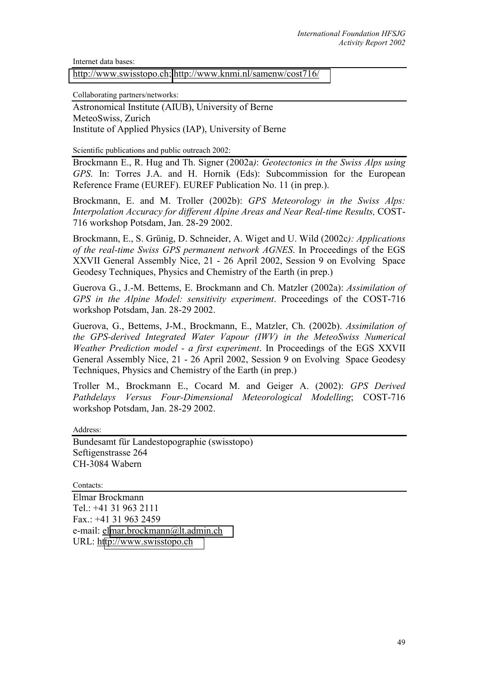Internet data bases:

[http://www.swisstopo.ch;](http://www.swisstopo.ch/)<http://www.knmi.nl/samenw/cost716/>

Collaborating partners/networks:

Astronomical Institute (AIUB), University of Berne MeteoSwiss, Zurich Institute of Applied Physics (IAP), University of Berne

Scientific publications and public outreach 2002:

Brockmann E., R. Hug and Th. Signer (2002a*)*: *Geotectonics in the Swiss Alps using GPS*. In: Torres J.A. and H. Hornik (Eds): Subcommission for the European Reference Frame (EUREF). EUREF Publication No. 11 (in prep.).

Brockmann, E. and M. Troller (2002b): *GPS Meteorology in the Swiss Alps: Interpolation Accuracy for different Alpine Areas and Near Real-time Results,* COST-716 workshop Potsdam, Jan. 28-29 2002.

Brockmann, E., S. Grünig, D. Schneider, A. Wiget and U. Wild (2002c*): Applications of the real-time Swiss GPS permanent network AGNES*. In Proceedings of the EGS XXVII General Assembly Nice, 21 - 26 April 2002, Session 9 on Evolving Space Geodesy Techniques, Physics and Chemistry of the Earth (in prep.)

Guerova G., J.-M. Bettems, E. Brockmann and Ch. Matzler (2002a): *Assimilation of GPS in the Alpine Model: sensitivity experiment*. Proceedings of the COST-716 workshop Potsdam, Jan. 28-29 2002.

Guerova, G., Bettems, J-M., Brockmann, E., Matzler, Ch. (2002b). *Assimilation of the GPS-derived Integrated Water Vapour (IWV) in the MeteoSwiss Numerical Weather Prediction model - a first experiment*. In Proceedings of the EGS XXVII General Assembly Nice, 21 - 26 April 2002, Session 9 on Evolving Space Geodesy Techniques, Physics and Chemistry of the Earth (in prep.)

Troller M., Brockmann E., Cocard M. and Geiger A. (2002): *GPS Derived Pathdelays Versus Four-Dimensional Meteorological Modelling*; COST-716 workshop Potsdam, Jan. 28-29 2002.

Address:

Bundesamt für Landestopographie (swisstopo) Seftigenstrasse 264 CH-3084 Wabern

Contacts:

Elmar Brockmann Tel.: +41 31 963 2111 Fax.: +41 31 963 2459 e-mail: el[mar.brockmann@lt.admin.ch](mailto:urs.wild@lt.admin.ch) URL: h[ttp://www.swisstopo.ch](http://www.swisstopo.ch/)